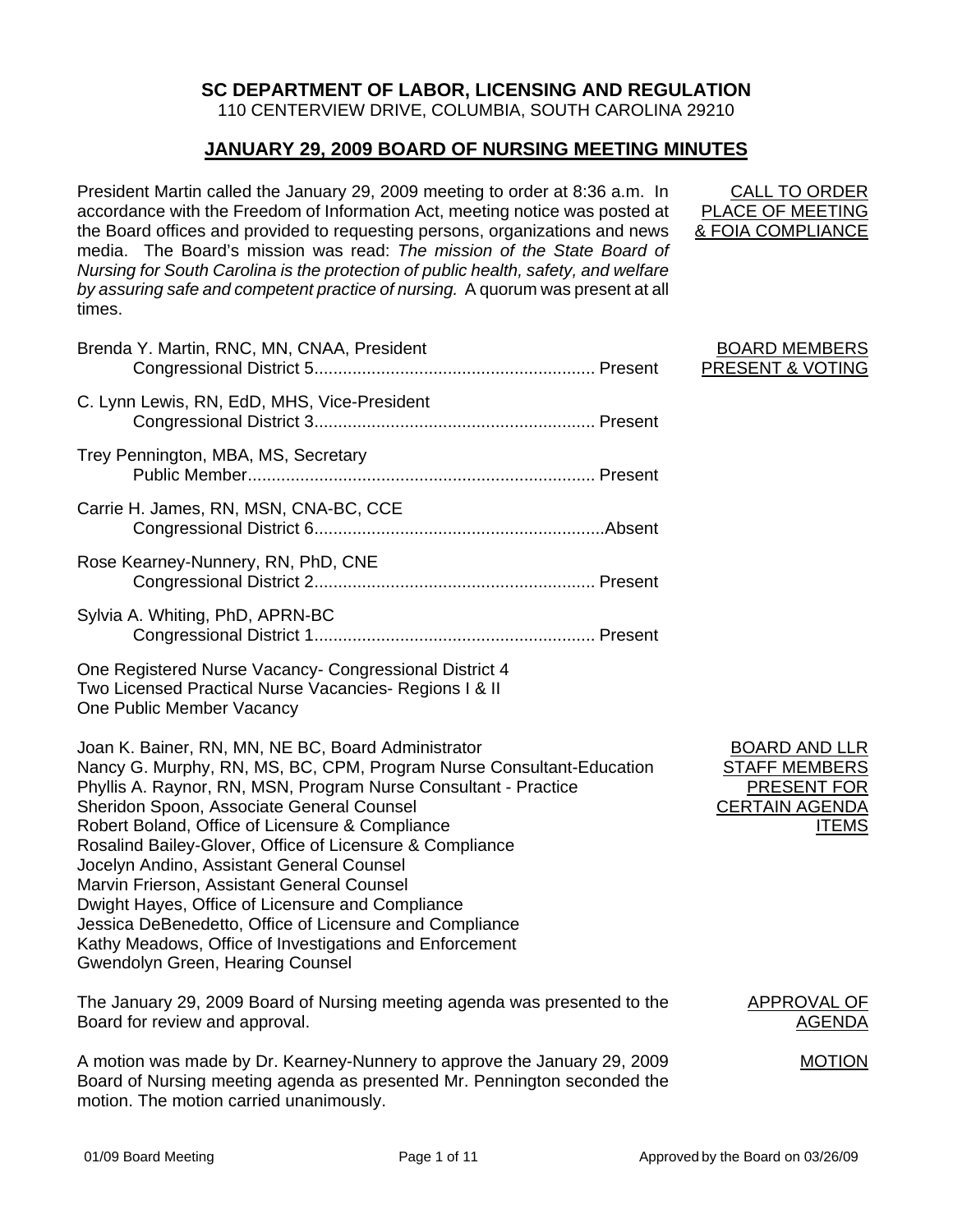## **SC DEPARTMENT OF LABOR, LICENSING AND REGULATION**

110 CENTERVIEW DRIVE, COLUMBIA, SOUTH CAROLINA 29210

## **JANUARY 29, 2009 BOARD OF NURSING MEETING MINUTES**

President Martin called the January 29, 2009 meeting to order at 8:36 a.m. In accordance with the Freedom of Information Act, meeting notice was posted at the Board offices and provided to requesting persons, organizations and news media. The Board's mission was read: *The mission of the State Board of Nursing for South Carolina is the protection of public health, safety, and welfare by assuring safe and competent practice of nursing.* A quorum was present at all times.

| Brenda Y. Martin, RNC, MN, CNAA, President                                                                                                                                                                                                                                                                                                                                                                                                           |  |
|------------------------------------------------------------------------------------------------------------------------------------------------------------------------------------------------------------------------------------------------------------------------------------------------------------------------------------------------------------------------------------------------------------------------------------------------------|--|
| C. Lynn Lewis, RN, EdD, MHS, Vice-President                                                                                                                                                                                                                                                                                                                                                                                                          |  |
| Trey Pennington, MBA, MS, Secretary                                                                                                                                                                                                                                                                                                                                                                                                                  |  |
| Carrie H. James, RN, MSN, CNA-BC, CCE                                                                                                                                                                                                                                                                                                                                                                                                                |  |
| Rose Kearney-Nunnery, RN, PhD, CNE                                                                                                                                                                                                                                                                                                                                                                                                                   |  |
| Sylvia A. Whiting, PhD, APRN-BC                                                                                                                                                                                                                                                                                                                                                                                                                      |  |
| One Registered Nurse Vacancy- Congressional District 4<br>Two Licensed Practical Nurse Vacancies- Regions I & II<br>One Public Member Vacancy                                                                                                                                                                                                                                                                                                        |  |
| Joan K. Bainer, RN, MN, NE BC, Board Administrator<br>Nancy G. Murphy, RN, MS, BC, CPM, Program Nurse Consultant-Education<br>Phyllis A. Raynor, RN, MSN, Program Nurse Consultant - Practice<br>Sheridon Spoon, Associate General Counsel<br>Robert Boland, Office of Licensure & Compliance<br>Rosalind Bailey-Glover, Office of Licensure & Compliance<br>Jocelyn Andino, Assistant General Counsel<br>Marvin Frierson, Assistant General Counsel |  |

BOARD MEMBERS

PRESENT & VOTING

CALL TO ORDER PLACE OF MEETING & FOIA COMPLIANCE

> BOARD AND LLR STAFF MEMBERS PRESENT FOR CERTAIN AGENDA ITEMS

The January 29, 2009 Board of Nursing meeting agenda was presented to the Board for review and approval.

A motion was made by Dr. Kearney-Nunnery to approve the January 29, 2009 Board of Nursing meeting agenda as presented Mr. Pennington seconded the motion. The motion carried unanimously.

Dwight Hayes, Office of Licensure and Compliance

Gwendolyn Green, Hearing Counsel

Jessica DeBenedetto, Office of Licensure and Compliance Kathy Meadows, Office of Investigations and Enforcement

> APPROVAL OF **AGENDA**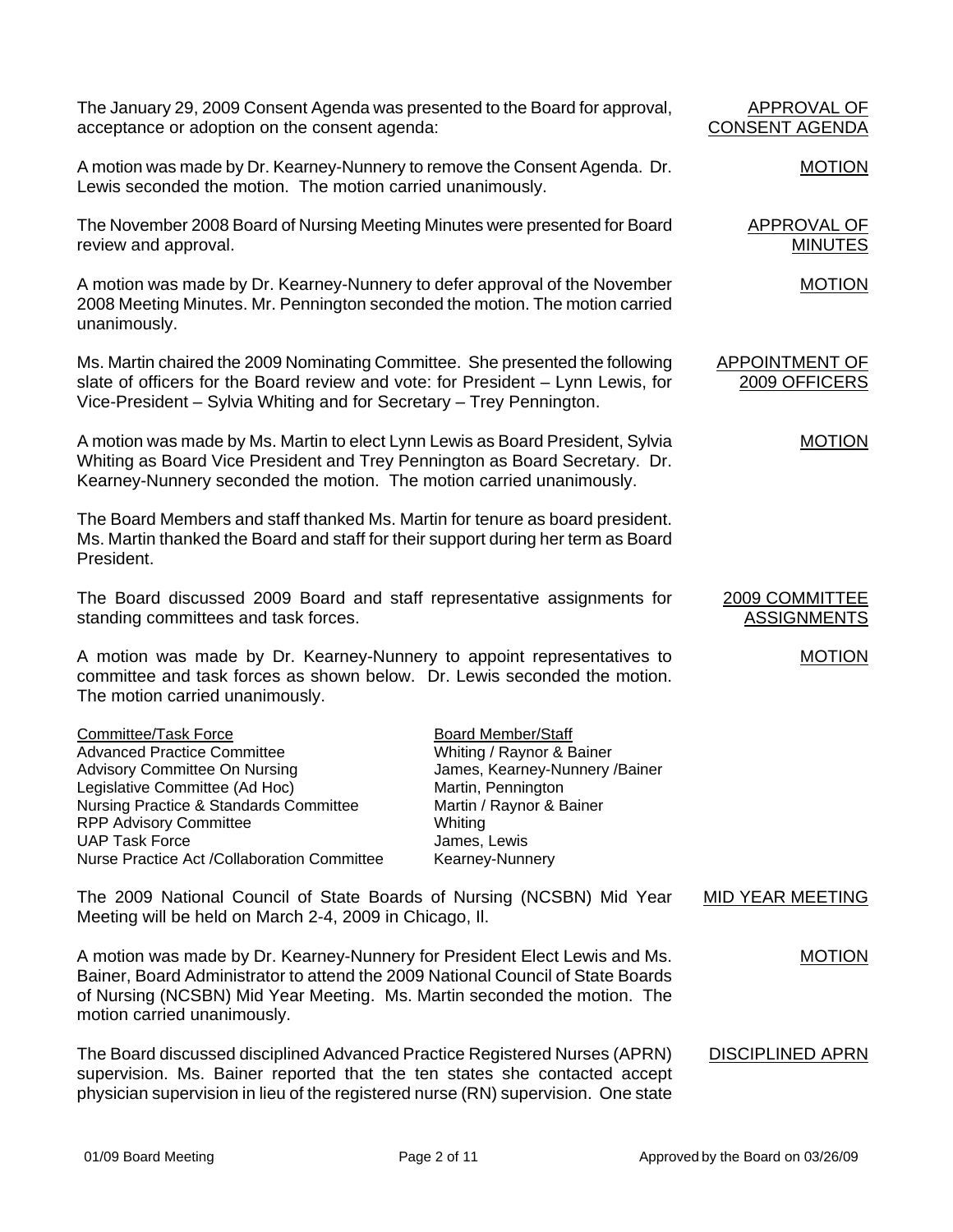The January 29, 2009 Consent Agenda was presented to the Board for approval, acceptance or adoption on the consent agenda:

A motion was made by Dr. Kearney-Nunnery to remove the Consent Agenda. Dr. Lewis seconded the motion. The motion carried unanimously.

The November 2008 Board of Nursing Meeting Minutes were presented for Board review and approval.

A motion was made by Dr. Kearney-Nunnery to defer approval of the November 2008 Meeting Minutes. Mr. Pennington seconded the motion. The motion carried unanimously.

Ms. Martin chaired the 2009 Nominating Committee. She presented the following slate of officers for the Board review and vote: for President – Lynn Lewis, for Vice-President – Sylvia Whiting and for Secretary – Trey Pennington.

A motion was made by Ms. Martin to elect Lynn Lewis as Board President, Sylvia Whiting as Board Vice President and Trey Pennington as Board Secretary. Dr. Kearney-Nunnery seconded the motion. The motion carried unanimously.

The Board Members and staff thanked Ms. Martin for tenure as board president. Ms. Martin thanked the Board and staff for their support during her term as Board President.

The Board discussed 2009 Board and staff representative assignments for standing committees and task forces.

A motion was made by Dr. Kearney-Nunnery to appoint representatives to committee and task forces as shown below. Dr. Lewis seconded the motion. The motion carried unanimously.

| Committee/Task Force                        | <b>Board Member/Staff</b>      |
|---------------------------------------------|--------------------------------|
| <b>Advanced Practice Committee</b>          | Whiting / Raynor & Bainer      |
| <b>Advisory Committee On Nursing</b>        | James, Kearney-Nunnery /Bainer |
| Legislative Committee (Ad Hoc)              | Martin, Pennington             |
| Nursing Practice & Standards Committee      | Martin / Raynor & Bainer       |
| <b>RPP Advisory Committee</b>               | Whiting                        |
| <b>UAP Task Force</b>                       | James, Lewis                   |
| Nurse Practice Act /Collaboration Committee | Kearney-Nunnery                |

The 2009 National Council of State Boards of Nursing (NCSBN) Mid Year Meeting will be held on March 2-4, 2009 in Chicago, Il.

A motion was made by Dr. Kearney-Nunnery for President Elect Lewis and Ms. Bainer, Board Administrator to attend the 2009 National Council of State Boards of Nursing (NCSBN) Mid Year Meeting. Ms. Martin seconded the motion. The motion carried unanimously.

The Board discussed disciplined Advanced Practice Registered Nurses (APRN) supervision. Ms. Bainer reported that the ten states she contacted accept physician supervision in lieu of the registered nurse (RN) supervision. One state DISCIPLINED APRN

# APPROVAL OF CONSENT AGENDA

## MOTION

APPROVAL OF MINUTES

MOTION

## APPOINTMENT OF 2009 OFFICERS

## MOTION

#### 2009 COMMITTEE ASSIGNMENTS

MID YEAR MEETING

MOTION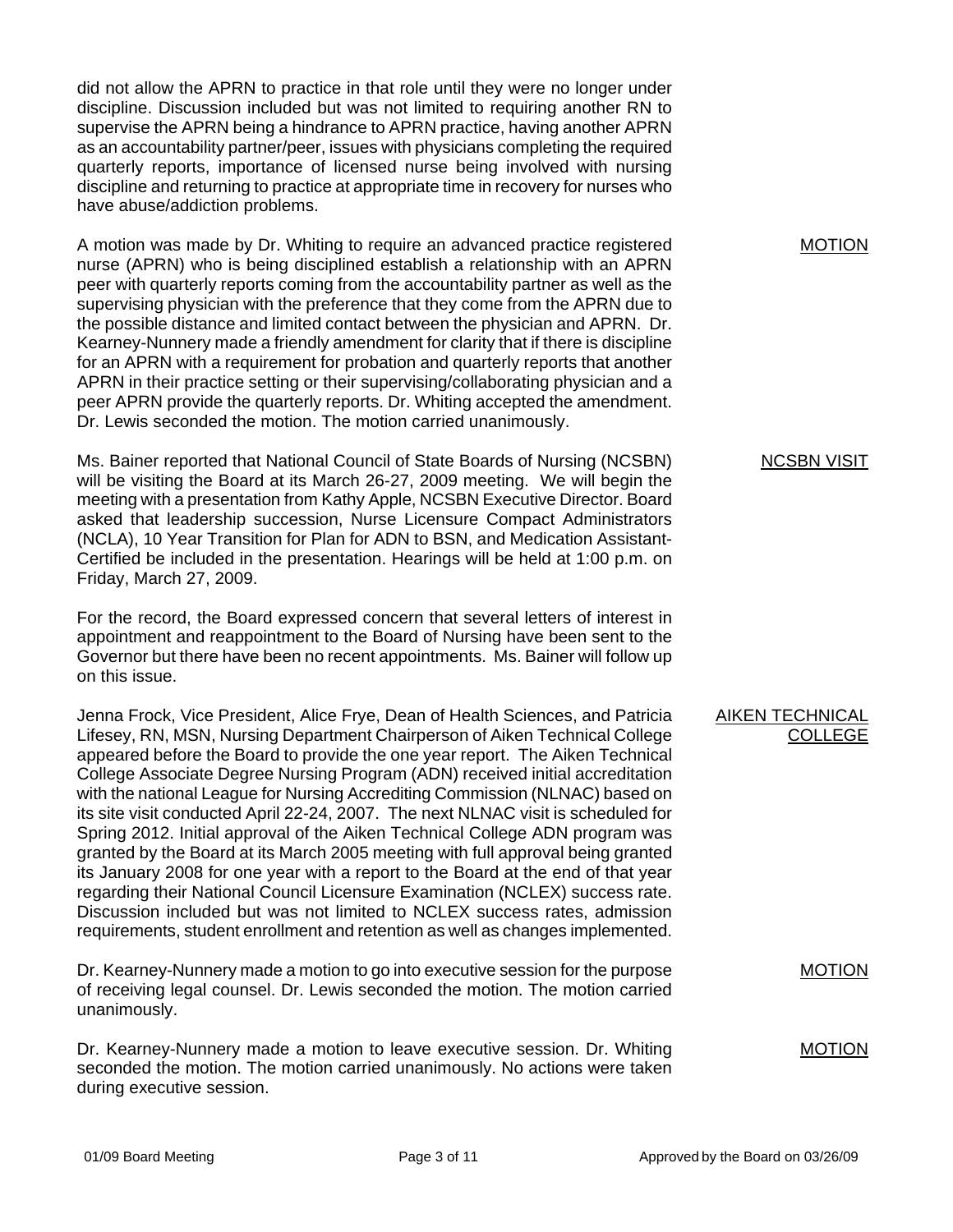did not allow the APRN to practice in that role until they were no longer under discipline. Discussion included but was not limited to requiring another RN to supervise the APRN being a hindrance to APRN practice, having another APRN as an accountability partner/peer, issues with physicians completing the required quarterly reports, importance of licensed nurse being involved with nursing discipline and returning to practice at appropriate time in recovery for nurses who have abuse/addiction problems.

A motion was made by Dr. Whiting to require an advanced practice registered nurse (APRN) who is being disciplined establish a relationship with an APRN peer with quarterly reports coming from the accountability partner as well as the supervising physician with the preference that they come from the APRN due to the possible distance and limited contact between the physician and APRN. Dr. Kearney-Nunnery made a friendly amendment for clarity that if there is discipline for an APRN with a requirement for probation and quarterly reports that another APRN in their practice setting or their supervising/collaborating physician and a peer APRN provide the quarterly reports. Dr. Whiting accepted the amendment. Dr. Lewis seconded the motion. The motion carried unanimously.

Ms. Bainer reported that National Council of State Boards of Nursing (NCSBN) will be visiting the Board at its March 26-27, 2009 meeting. We will begin the meeting with a presentation from Kathy Apple, NCSBN Executive Director. Board asked that leadership succession, Nurse Licensure Compact Administrators (NCLA), 10 Year Transition for Plan for ADN to BSN, and Medication Assistant-Certified be included in the presentation. Hearings will be held at 1:00 p.m. on Friday, March 27, 2009.

For the record, the Board expressed concern that several letters of interest in appointment and reappointment to the Board of Nursing have been sent to the Governor but there have been no recent appointments. Ms. Bainer will follow up on this issue.

Jenna Frock, Vice President, Alice Frye, Dean of Health Sciences, and Patricia Lifesey, RN, MSN, Nursing Department Chairperson of Aiken Technical College appeared before the Board to provide the one year report. The Aiken Technical College Associate Degree Nursing Program (ADN) received initial accreditation with the national League for Nursing Accrediting Commission (NLNAC) based on its site visit conducted April 22-24, 2007. The next NLNAC visit is scheduled for Spring 2012. Initial approval of the Aiken Technical College ADN program was granted by the Board at its March 2005 meeting with full approval being granted its January 2008 for one year with a report to the Board at the end of that year regarding their National Council Licensure Examination (NCLEX) success rate. Discussion included but was not limited to NCLEX success rates, admission requirements, student enrollment and retention as well as changes implemented.

Dr. Kearney-Nunnery made a motion to go into executive session for the purpose of receiving legal counsel. Dr. Lewis seconded the motion. The motion carried unanimously.

Dr. Kearney-Nunnery made a motion to leave executive session. Dr. Whiting seconded the motion. The motion carried unanimously. No actions were taken during executive session.

MOTION

#### NCSBN VISIT

### AIKEN TECHNICAL COLLEGE

MOTION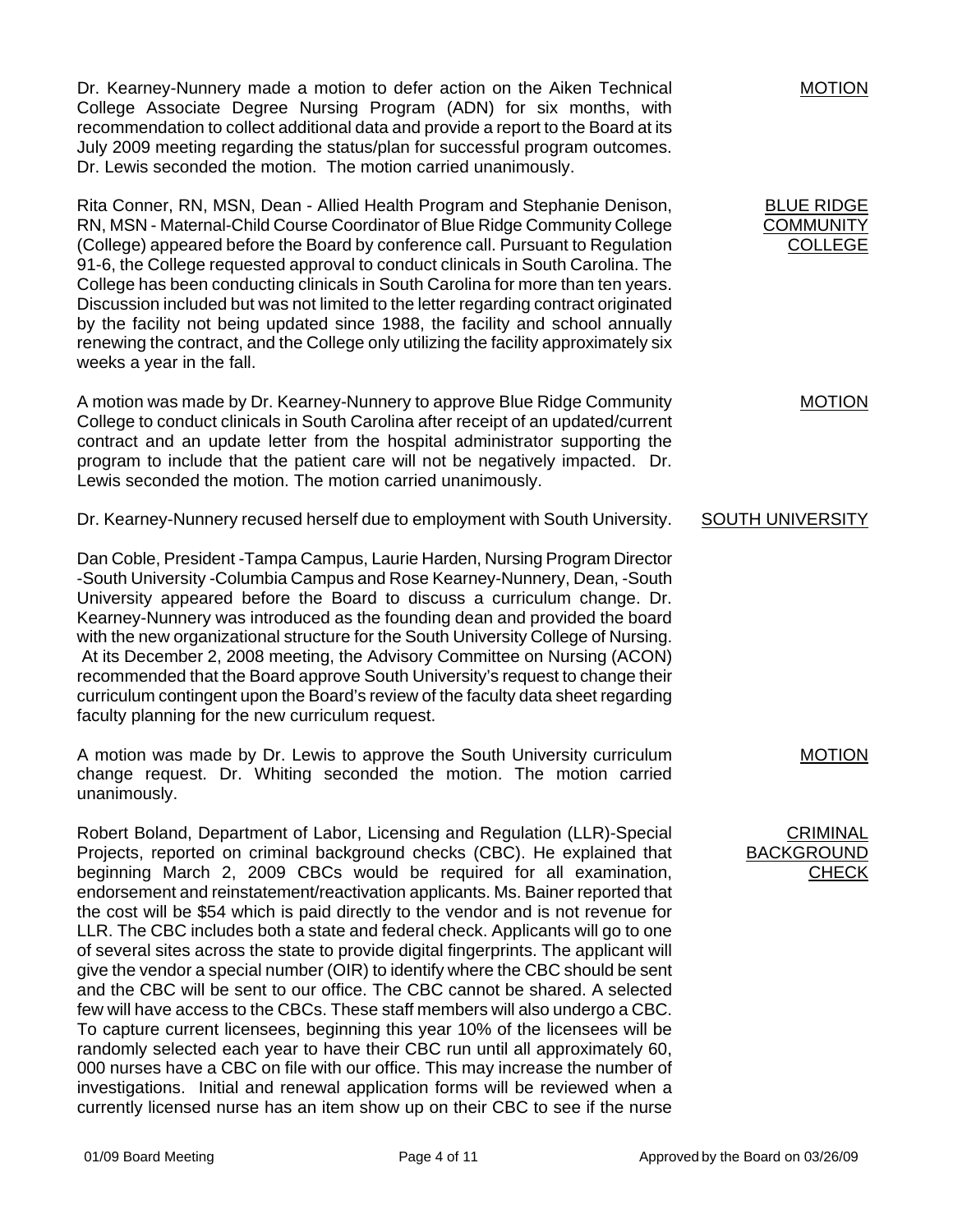Dr. Kearney-Nunnery made a motion to defer action on the Aiken Technical College Associate Degree Nursing Program (ADN) for six months, with recommendation to collect additional data and provide a report to the Board at its July 2009 meeting regarding the status/plan for successful program outcomes. Dr. Lewis seconded the motion. The motion carried unanimously.

Rita Conner, RN, MSN, Dean - Allied Health Program and Stephanie Denison, RN, MSN - Maternal-Child Course Coordinator of Blue Ridge Community College (College) appeared before the Board by conference call. Pursuant to Regulation 91-6, the College requested approval to conduct clinicals in South Carolina. The College has been conducting clinicals in South Carolina for more than ten years. Discussion included but was not limited to the letter regarding contract originated by the facility not being updated since 1988, the facility and school annually renewing the contract, and the College only utilizing the facility approximately six weeks a year in the fall.

A motion was made by Dr. Kearney-Nunnery to approve Blue Ridge Community College to conduct clinicals in South Carolina after receipt of an updated/current contract and an update letter from the hospital administrator supporting the program to include that the patient care will not be negatively impacted. Dr. Lewis seconded the motion. The motion carried unanimously.

Dr. Kearney-Nunnery recused herself due to employment with South University.

Dan Coble, President -Tampa Campus, Laurie Harden, Nursing Program Director -South University -Columbia Campus and Rose Kearney-Nunnery, Dean, -South University appeared before the Board to discuss a curriculum change. Dr. Kearney-Nunnery was introduced as the founding dean and provided the board with the new organizational structure for the South University College of Nursing. At its December 2, 2008 meeting, the Advisory Committee on Nursing (ACON) recommended that the Board approve South University's request to change their curriculum contingent upon the Board's review of the faculty data sheet regarding faculty planning for the new curriculum request.

A motion was made by Dr. Lewis to approve the South University curriculum change request. Dr. Whiting seconded the motion. The motion carried unanimously.

Robert Boland, Department of Labor, Licensing and Regulation (LLR)-Special Projects, reported on criminal background checks (CBC). He explained that beginning March 2, 2009 CBCs would be required for all examination, endorsement and reinstatement/reactivation applicants. Ms. Bainer reported that the cost will be \$54 which is paid directly to the vendor and is not revenue for LLR. The CBC includes both a state and federal check. Applicants will go to one of several sites across the state to provide digital fingerprints. The applicant will give the vendor a special number (OIR) to identify where the CBC should be sent and the CBC will be sent to our office. The CBC cannot be shared. A selected few will have access to the CBCs. These staff members will also undergo a CBC. To capture current licensees, beginning this year 10% of the licensees will be randomly selected each year to have their CBC run until all approximately 60, 000 nurses have a CBC on file with our office. This may increase the number of investigations. Initial and renewal application forms will be reviewed when a currently licensed nurse has an item show up on their CBC to see if the nurse

MOTION

BLUE RIDGE **COMMUNITY** COLLEGE

MOTION

## SOUTH UNIVERSITY

MOTION

**CRIMINAL BACKGROUND** CHECK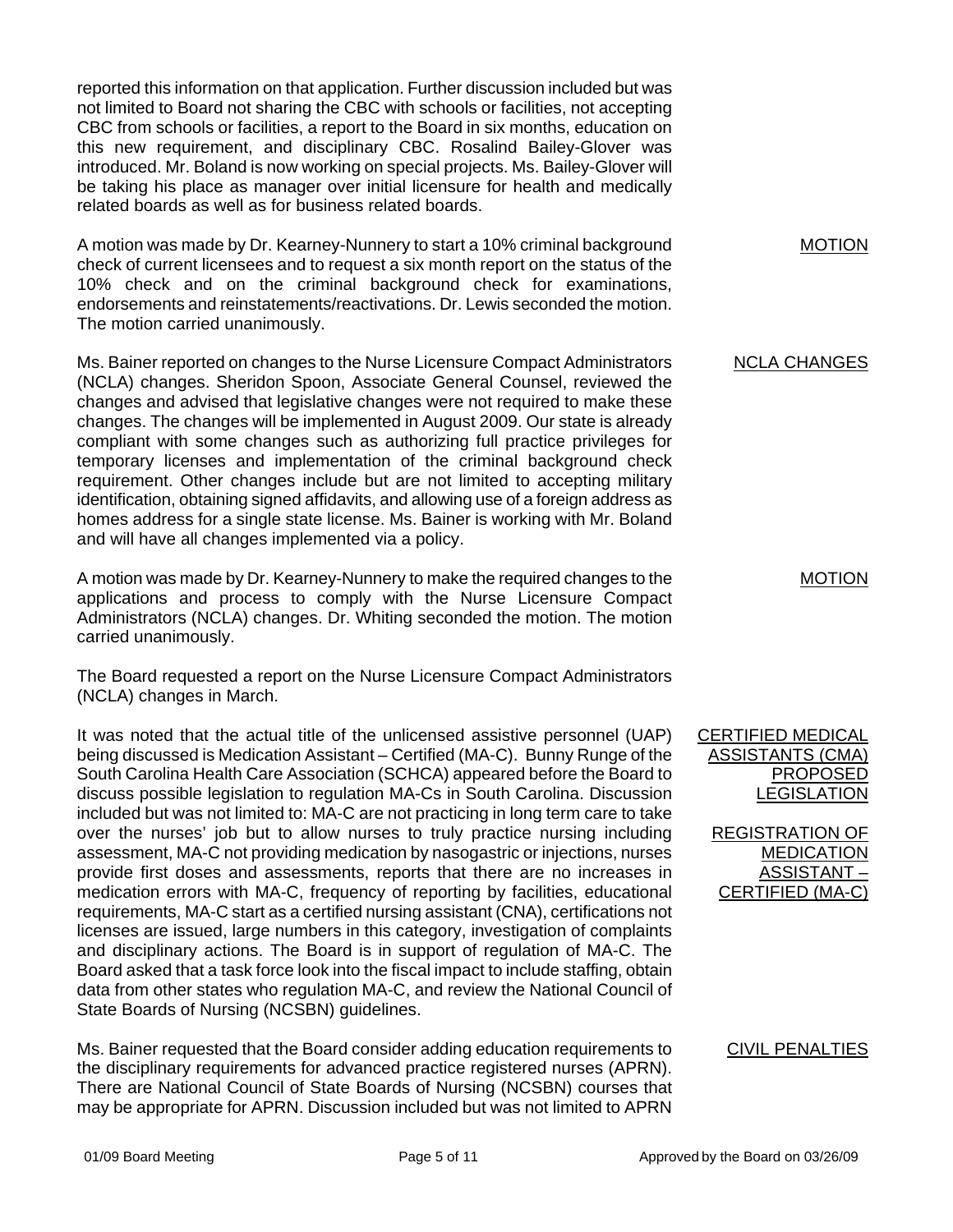reported this information on that application. Further discussion included but was not limited to Board not sharing the CBC with schools or facilities, not accepting CBC from schools or facilities, a report to the Board in six months, education on this new requirement, and disciplinary CBC. Rosalind Bailey-Glover was introduced. Mr. Boland is now working on special projects. Ms. Bailey-Glover will be taking his place as manager over initial licensure for health and medically related boards as well as for business related boards.

A motion was made by Dr. Kearney-Nunnery to start a 10% criminal background check of current licensees and to request a six month report on the status of the 10% check and on the criminal background check for examinations, endorsements and reinstatements/reactivations. Dr. Lewis seconded the motion. The motion carried unanimously.

Ms. Bainer reported on changes to the Nurse Licensure Compact Administrators (NCLA) changes. Sheridon Spoon, Associate General Counsel, reviewed the changes and advised that legislative changes were not required to make these changes. The changes will be implemented in August 2009. Our state is already compliant with some changes such as authorizing full practice privileges for temporary licenses and implementation of the criminal background check requirement. Other changes include but are not limited to accepting military identification, obtaining signed affidavits, and allowing use of a foreign address as homes address for a single state license. Ms. Bainer is working with Mr. Boland and will have all changes implemented via a policy.

A motion was made by Dr. Kearney-Nunnery to make the required changes to the applications and process to comply with the Nurse Licensure Compact Administrators (NCLA) changes. Dr. Whiting seconded the motion. The motion carried unanimously.

The Board requested a report on the Nurse Licensure Compact Administrators (NCLA) changes in March.

It was noted that the actual title of the unlicensed assistive personnel (UAP) being discussed is Medication Assistant – Certified (MA-C). Bunny Runge of the South Carolina Health Care Association (SCHCA) appeared before the Board to discuss possible legislation to regulation MA-Cs in South Carolina. Discussion included but was not limited to: MA-C are not practicing in long term care to take over the nurses' job but to allow nurses to truly practice nursing including assessment, MA-C not providing medication by nasogastric or injections, nurses provide first doses and assessments, reports that there are no increases in medication errors with MA-C, frequency of reporting by facilities, educational requirements, MA-C start as a certified nursing assistant (CNA), certifications not licenses are issued, large numbers in this category, investigation of complaints and disciplinary actions. The Board is in support of regulation of MA-C. The Board asked that a task force look into the fiscal impact to include staffing, obtain data from other states who regulation MA-C, and review the National Council of State Boards of Nursing (NCSBN) guidelines.

Ms. Bainer requested that the Board consider adding education requirements to the disciplinary requirements for advanced practice registered nurses (APRN). There are National Council of State Boards of Nursing (NCSBN) courses that may be appropriate for APRN. Discussion included but was not limited to APRN

MOTION

#### NCLA CHANGES

MOTION

CERTIFIED MEDICAL ASSISTANTS (CMA) PROPOSED LEGISLATION

REGISTRATION OF MEDICATION ASSISTANT – CERTIFIED (MA-C)

#### CIVIL PENALTIES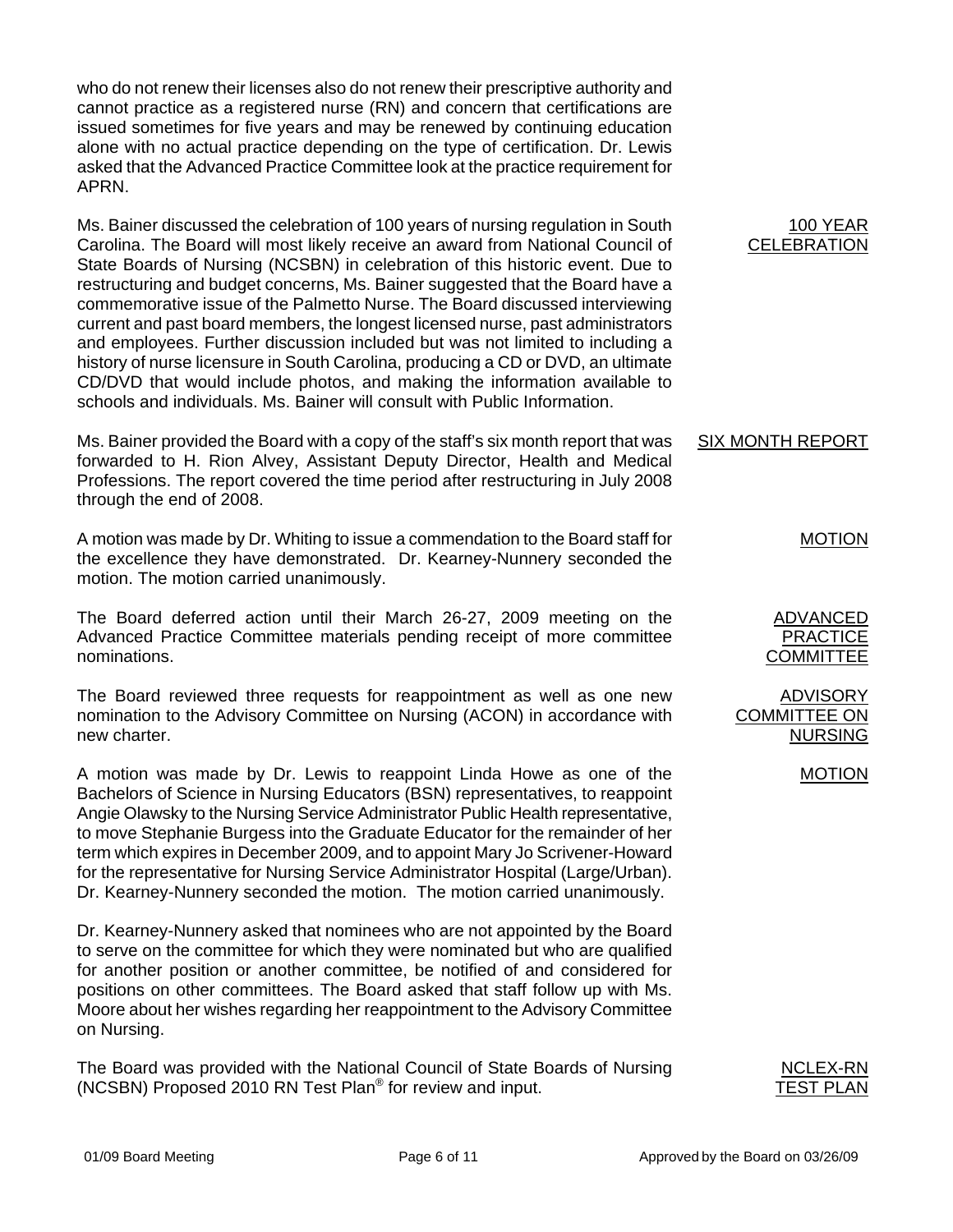who do not renew their licenses also do not renew their prescriptive authority and cannot practice as a registered nurse (RN) and concern that certifications are issued sometimes for five years and may be renewed by continuing education alone with no actual practice depending on the type of certification. Dr. Lewis asked that the Advanced Practice Committee look at the practice requirement for APRN.

Ms. Bainer discussed the celebration of 100 years of nursing regulation in South Carolina. The Board will most likely receive an award from National Council of State Boards of Nursing (NCSBN) in celebration of this historic event. Due to restructuring and budget concerns, Ms. Bainer suggested that the Board have a commemorative issue of the Palmetto Nurse. The Board discussed interviewing current and past board members, the longest licensed nurse, past administrators and employees. Further discussion included but was not limited to including a history of nurse licensure in South Carolina, producing a CD or DVD, an ultimate CD/DVD that would include photos, and making the information available to schools and individuals. Ms. Bainer will consult with Public Information.

Ms. Bainer provided the Board with a copy of the staff's six month report that was forwarded to H. Rion Alvey, Assistant Deputy Director, Health and Medical Professions. The report covered the time period after restructuring in July 2008 through the end of 2008. SIX MONTH REPORT

A motion was made by Dr. Whiting to issue a commendation to the Board staff for the excellence they have demonstrated. Dr. Kearney-Nunnery seconded the motion. The motion carried unanimously.

The Board deferred action until their March 26-27, 2009 meeting on the Advanced Practice Committee materials pending receipt of more committee nominations.

The Board reviewed three requests for reappointment as well as one new nomination to the Advisory Committee on Nursing (ACON) in accordance with new charter.

A motion was made by Dr. Lewis to reappoint Linda Howe as one of the Bachelors of Science in Nursing Educators (BSN) representatives, to reappoint Angie Olawsky to the Nursing Service Administrator Public Health representative, to move Stephanie Burgess into the Graduate Educator for the remainder of her term which expires in December 2009, and to appoint Mary Jo Scrivener-Howard for the representative for Nursing Service Administrator Hospital (Large/Urban). Dr. Kearney-Nunnery seconded the motion. The motion carried unanimously.

Dr. Kearney-Nunnery asked that nominees who are not appointed by the Board to serve on the committee for which they were nominated but who are qualified for another position or another committee, be notified of and considered for positions on other committees. The Board asked that staff follow up with Ms. Moore about her wishes regarding her reappointment to the Advisory Committee on Nursing.

The Board was provided with the National Council of State Boards of Nursing (NCSBN) Proposed 2010 RN Test Plan® for review and input.

100 YEAR **CELEBRATION** 

MOTION

ADVANCED PRACTICE **COMMITTEE** 

ADVISORY COMMITTEE ON NURSING

| NCLEX-RN         |  |
|------------------|--|
| <b>TEST PLAN</b> |  |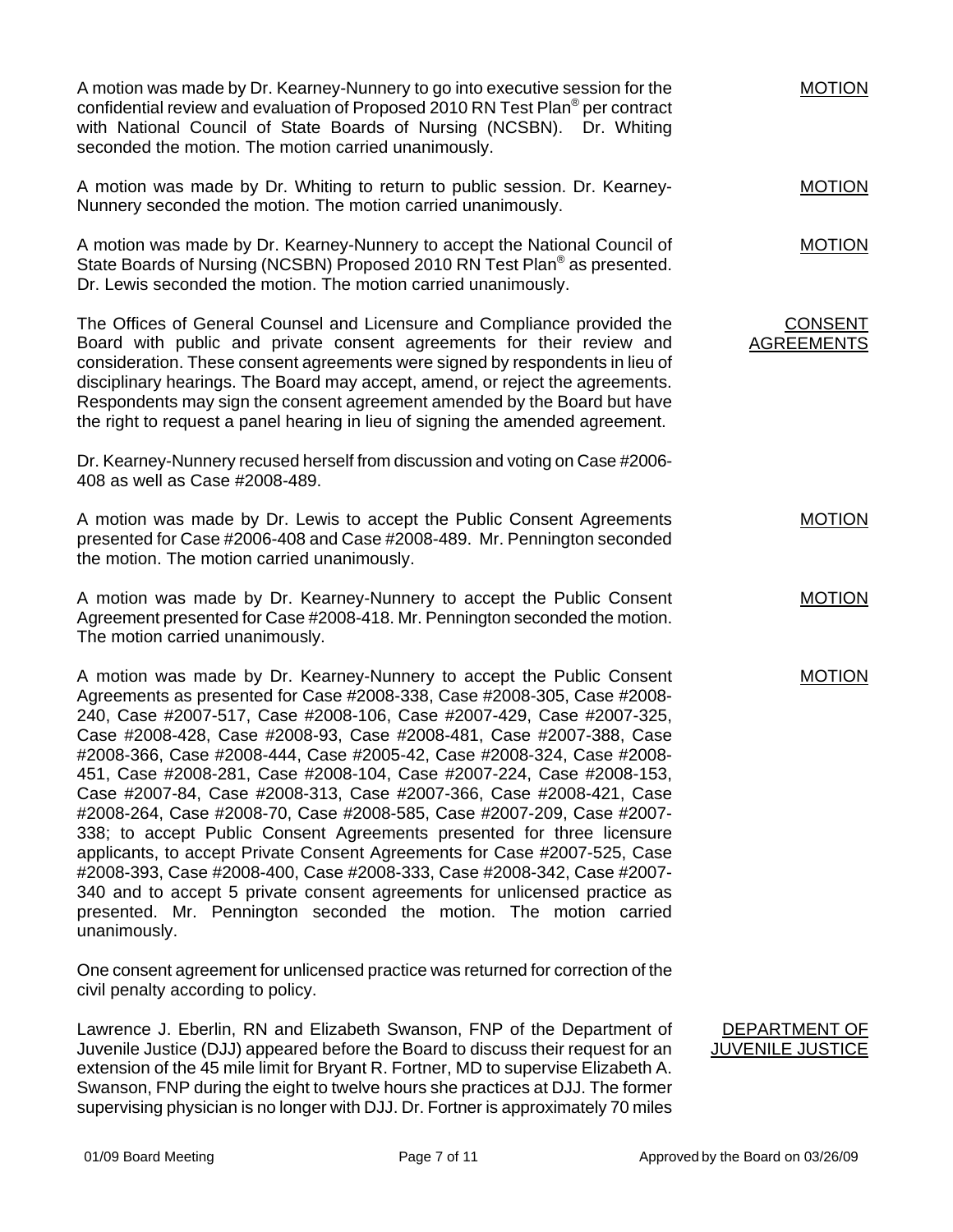A motion was made by Dr. Kearney-Nunnery to go into executive session for the confidential review and evaluation of Proposed 2010 RN Test Plan® per contract with National Council of State Boards of Nursing (NCSBN). Dr. Whiting seconded the motion. The motion carried unanimously. A motion was made by Dr. Whiting to return to public session. Dr. Kearney-Nunnery seconded the motion. The motion carried unanimously. A motion was made by Dr. Kearney-Nunnery to accept the National Council of State Boards of Nursing (NCSBN) Proposed 2010 RN Test Plan<sup>®</sup> as presented. Dr. Lewis seconded the motion. The motion carried unanimously. MOTION MOTION MOTION The Offices of General Counsel and Licensure and Compliance provided the Board with public and private consent agreements for their review and consideration. These consent agreements were signed by respondents in lieu of disciplinary hearings. The Board may accept, amend, or reject the agreements. Respondents may sign the consent agreement amended by the Board but have the right to request a panel hearing in lieu of signing the amended agreement. Dr. Kearney-Nunnery recused herself from discussion and voting on Case #2006- 408 as well as Case #2008-489. A motion was made by Dr. Lewis to accept the Public Consent Agreements presented for Case #2006-408 and Case #2008-489. Mr. Pennington seconded the motion. The motion carried unanimously. A motion was made by Dr. Kearney-Nunnery to accept the Public Consent Agreement presented for Case #2008-418. Mr. Pennington seconded the motion. The motion carried unanimously. A motion was made by Dr. Kearney-Nunnery to accept the Public Consent Agreements as presented for Case #2008-338, Case #2008-305, Case #2008- 240, Case #2007-517, Case #2008-106, Case #2007-429, Case #2007-325, Case #2008-428, Case #2008-93, Case #2008-481, Case #2007-388, Case #2008-366, Case #2008-444, Case #2005-42, Case #2008-324, Case #2008- 451, Case #2008-281, Case #2008-104, Case #2007-224, Case #2008-153, Case #2007-84, Case #2008-313, Case #2007-366, Case #2008-421, Case #2008-264, Case #2008-70, Case #2008-585, Case #2007-209, Case #2007- 338; to accept Public Consent Agreements presented for three licensure applicants, to accept Private Consent Agreements for Case #2007-525, Case #2008-393, Case #2008-400, Case #2008-333, Case #2008-342, Case #2007- 340 and to accept 5 private consent agreements for unlicensed practice as presented. Mr. Pennington seconded the motion. The motion carried unanimously. One consent agreement for unlicensed practice was returned for correction of the civil penalty according to policy. CONSENT AGREEMENTS MOTION MOTION MOTION

Lawrence J. Eberlin, RN and Elizabeth Swanson, FNP of the Department of Juvenile Justice (DJJ) appeared before the Board to discuss their request for an extension of the 45 mile limit for Bryant R. Fortner, MD to supervise Elizabeth A. Swanson, FNP during the eight to twelve hours she practices at DJJ. The former supervising physician is no longer with DJJ. Dr. Fortner is approximately 70 miles

DEPARTMENT OF JUVENILE JUSTICE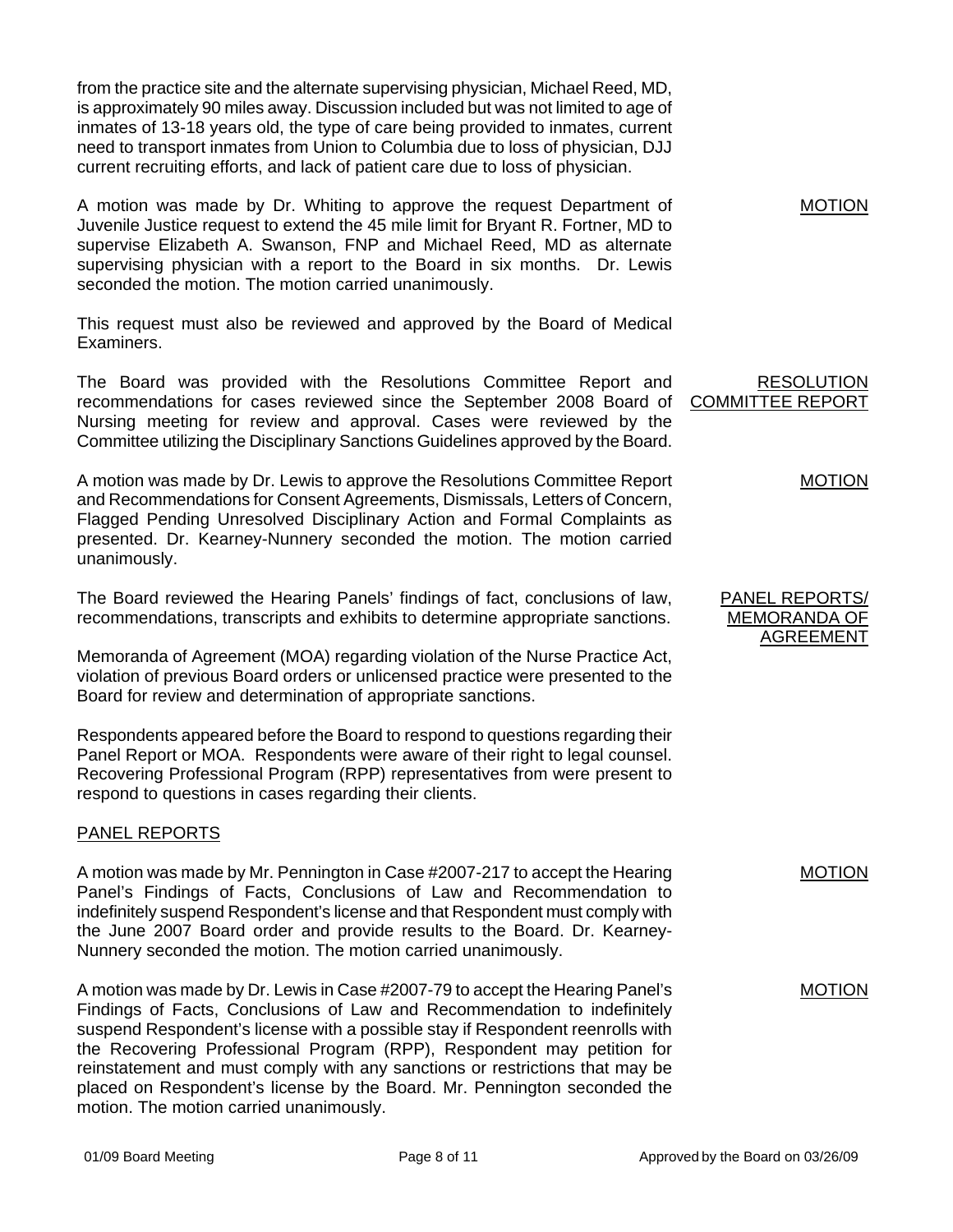from the practice site and the alternate supervising physician, Michael Reed, MD, is approximately 90 miles away. Discussion included but was not limited to age of inmates of 13-18 years old, the type of care being provided to inmates, current need to transport inmates from Union to Columbia due to loss of physician, DJJ current recruiting efforts, and lack of patient care due to loss of physician.

A motion was made by Dr. Whiting to approve the request Department of Juvenile Justice request to extend the 45 mile limit for Bryant R. Fortner, MD to supervise Elizabeth A. Swanson, FNP and Michael Reed, MD as alternate supervising physician with a report to the Board in six months. Dr. Lewis seconded the motion. The motion carried unanimously.

This request must also be reviewed and approved by the Board of Medical Examiners.

The Board was provided with the Resolutions Committee Report and recommendations for cases reviewed since the September 2008 Board of Nursing meeting for review and approval. Cases were reviewed by the Committee utilizing the Disciplinary Sanctions Guidelines approved by the Board.

A motion was made by Dr. Lewis to approve the Resolutions Committee Report and Recommendations for Consent Agreements, Dismissals, Letters of Concern, Flagged Pending Unresolved Disciplinary Action and Formal Complaints as presented. Dr. Kearney-Nunnery seconded the motion. The motion carried unanimously.

The Board reviewed the Hearing Panels' findings of fact, conclusions of law, recommendations, transcripts and exhibits to determine appropriate sanctions.

Memoranda of Agreement (MOA) regarding violation of the Nurse Practice Act, violation of previous Board orders or unlicensed practice were presented to the Board for review and determination of appropriate sanctions.

Respondents appeared before the Board to respond to questions regarding their Panel Report or MOA. Respondents were aware of their right to legal counsel. Recovering Professional Program (RPP) representatives from were present to respond to questions in cases regarding their clients.

## PANEL REPORTS

A motion was made by Mr. Pennington in Case #2007-217 to accept the Hearing Panel's Findings of Facts, Conclusions of Law and Recommendation to indefinitely suspend Respondent's license and that Respondent must comply with the June 2007 Board order and provide results to the Board. Dr. Kearney-Nunnery seconded the motion. The motion carried unanimously.

A motion was made by Dr. Lewis in Case #2007-79 to accept the Hearing Panel's Findings of Facts, Conclusions of Law and Recommendation to indefinitely suspend Respondent's license with a possible stay if Respondent reenrolls with the Recovering Professional Program (RPP), Respondent may petition for reinstatement and must comply with any sanctions or restrictions that may be placed on Respondent's license by the Board. Mr. Pennington seconded the motion. The motion carried unanimously.

RESOLUTION COMMITTEE REPORT

MOTION

| PANEL REPORTS/ |
|----------------|
| MEMORANDA OF   |
| AGREEMENT      |

MOTION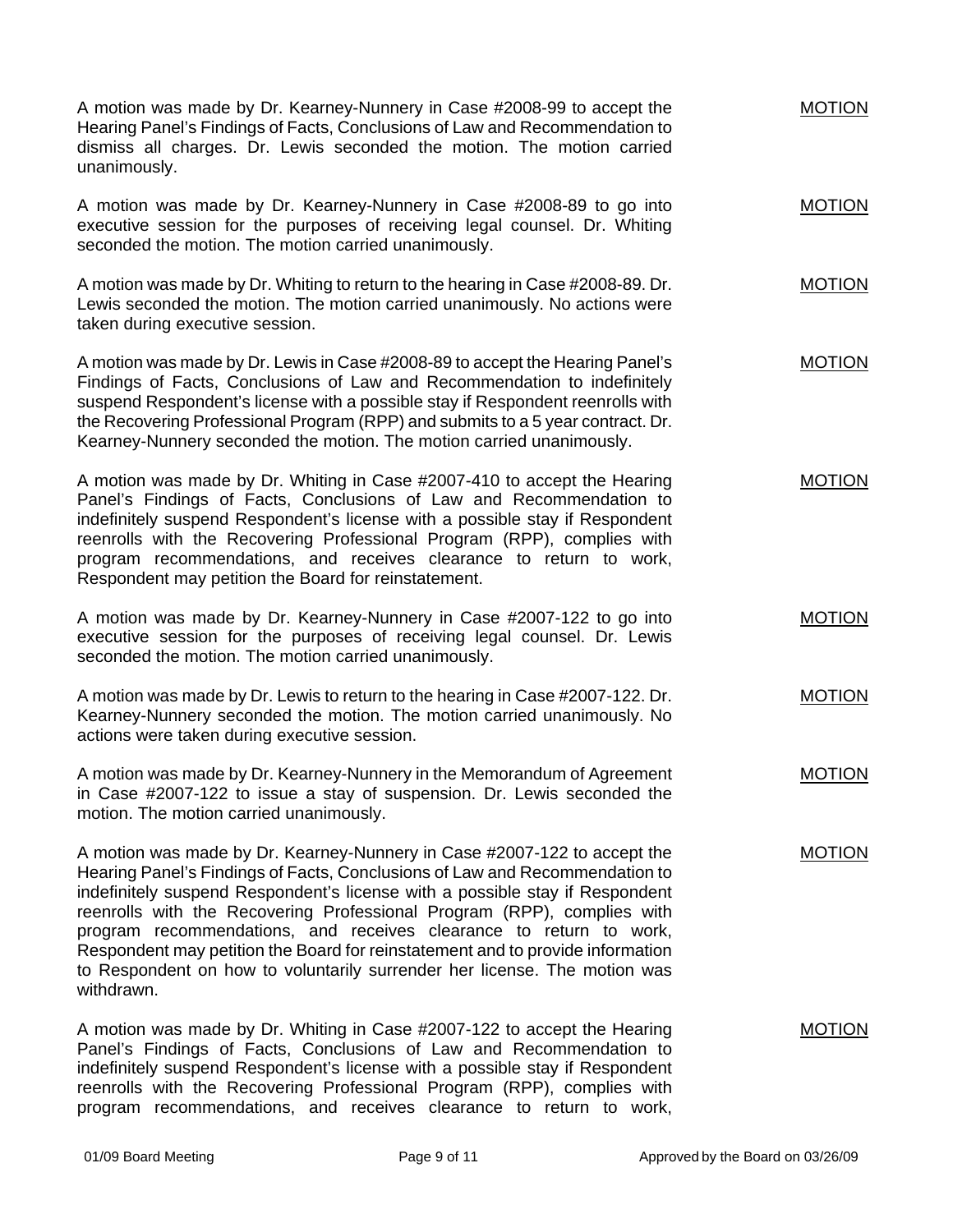| A motion was made by Dr. Kearney-Nunnery in Case #2008-99 to accept the<br>Hearing Panel's Findings of Facts, Conclusions of Law and Recommendation to<br>dismiss all charges. Dr. Lewis seconded the motion. The motion carried<br>unanimously.                                                                                                                                                                                                                                                                                                                      | <b>MOTION</b> |
|-----------------------------------------------------------------------------------------------------------------------------------------------------------------------------------------------------------------------------------------------------------------------------------------------------------------------------------------------------------------------------------------------------------------------------------------------------------------------------------------------------------------------------------------------------------------------|---------------|
| A motion was made by Dr. Kearney-Nunnery in Case #2008-89 to go into<br>executive session for the purposes of receiving legal counsel. Dr. Whiting<br>seconded the motion. The motion carried unanimously.                                                                                                                                                                                                                                                                                                                                                            | <b>MOTION</b> |
| A motion was made by Dr. Whiting to return to the hearing in Case #2008-89. Dr.<br>Lewis seconded the motion. The motion carried unanimously. No actions were<br>taken during executive session.                                                                                                                                                                                                                                                                                                                                                                      | <b>MOTION</b> |
| A motion was made by Dr. Lewis in Case #2008-89 to accept the Hearing Panel's<br>Findings of Facts, Conclusions of Law and Recommendation to indefinitely<br>suspend Respondent's license with a possible stay if Respondent reenrolls with<br>the Recovering Professional Program (RPP) and submits to a 5 year contract. Dr.<br>Kearney-Nunnery seconded the motion. The motion carried unanimously.                                                                                                                                                                | <b>MOTION</b> |
| A motion was made by Dr. Whiting in Case #2007-410 to accept the Hearing<br>Panel's Findings of Facts, Conclusions of Law and Recommendation to<br>indefinitely suspend Respondent's license with a possible stay if Respondent<br>reenrolls with the Recovering Professional Program (RPP), complies with<br>program recommendations, and receives clearance to return to work,<br>Respondent may petition the Board for reinstatement.                                                                                                                              | <b>MOTION</b> |
| A motion was made by Dr. Kearney-Nunnery in Case #2007-122 to go into<br>executive session for the purposes of receiving legal counsel. Dr. Lewis<br>seconded the motion. The motion carried unanimously.                                                                                                                                                                                                                                                                                                                                                             | <b>MOTION</b> |
| A motion was made by Dr. Lewis to return to the hearing in Case #2007-122. Dr.<br>Kearney-Nunnery seconded the motion. The motion carried unanimously. No<br>actions were taken during executive session.                                                                                                                                                                                                                                                                                                                                                             | <b>MOTION</b> |
| A motion was made by Dr. Kearney-Nunnery in the Memorandum of Agreement<br>in Case #2007-122 to issue a stay of suspension. Dr. Lewis seconded the<br>motion. The motion carried unanimously.                                                                                                                                                                                                                                                                                                                                                                         | <b>MOTION</b> |
| A motion was made by Dr. Kearney-Nunnery in Case #2007-122 to accept the<br>Hearing Panel's Findings of Facts, Conclusions of Law and Recommendation to<br>indefinitely suspend Respondent's license with a possible stay if Respondent<br>reenrolls with the Recovering Professional Program (RPP), complies with<br>program recommendations, and receives clearance to return to work,<br>Respondent may petition the Board for reinstatement and to provide information<br>to Respondent on how to voluntarily surrender her license. The motion was<br>withdrawn. | <b>MOTION</b> |
| A motion was made by Dr. Whiting in Case #2007-122 to accept the Hearing<br>Panel's Findings of Facts, Conclusions of Law and Recommendation to<br>indefinitely suspend Respondent's license with a possible stay if Respondent<br>reenrolls with the Recovering Professional Program (RPP), complies with                                                                                                                                                                                                                                                            | <b>MOTION</b> |

program recommendations, and receives clearance to return to work,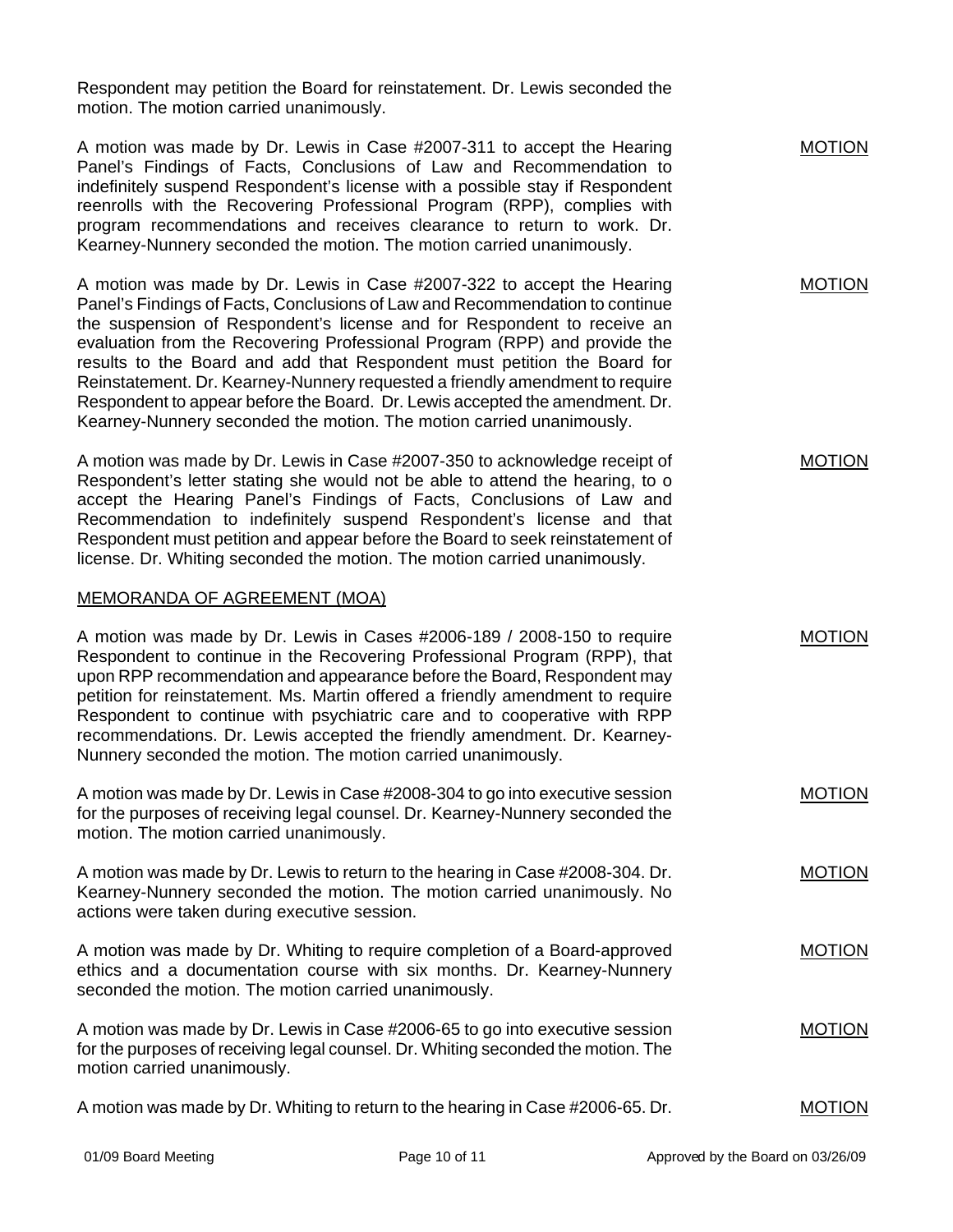Respondent may petition the Board for reinstatement. Dr. Lewis seconded the motion. The motion carried unanimously.

A motion was made by Dr. Lewis in Case #2007-311 to accept the Hearing Panel's Findings of Facts, Conclusions of Law and Recommendation to indefinitely suspend Respondent's license with a possible stay if Respondent reenrolls with the Recovering Professional Program (RPP), complies with program recommendations and receives clearance to return to work. Dr. Kearney-Nunnery seconded the motion. The motion carried unanimously. A motion was made by Dr. Lewis in Case #2007-322 to accept the Hearing Panel's Findings of Facts, Conclusions of Law and Recommendation to continue the suspension of Respondent's license and for Respondent to receive an evaluation from the Recovering Professional Program (RPP) and provide the results to the Board and add that Respondent must petition the Board for Reinstatement. Dr. Kearney-Nunnery requested a friendly amendment to require Respondent to appear before the Board. Dr. Lewis accepted the amendment. Dr. Kearney-Nunnery seconded the motion. The motion carried unanimously. A motion was made by Dr. Lewis in Case #2007-350 to acknowledge receipt of Respondent's letter stating she would not be able to attend the hearing, to o accept the Hearing Panel's Findings of Facts, Conclusions of Law and Recommendation to indefinitely suspend Respondent's license and that Respondent must petition and appear before the Board to seek reinstatement of license. Dr. Whiting seconded the motion. The motion carried unanimously. MEMORANDA OF AGREEMENT (MOA) A motion was made by Dr. Lewis in Cases #2006-189 / 2008-150 to require Respondent to continue in the Recovering Professional Program (RPP), that upon RPP recommendation and appearance before the Board, Respondent may petition for reinstatement. Ms. Martin offered a friendly amendment to require Respondent to continue with psychiatric care and to cooperative with RPP recommendations. Dr. Lewis accepted the friendly amendment. Dr. Kearney-Nunnery seconded the motion. The motion carried unanimously. A motion was made by Dr. Lewis in Case #2008-304 to go into executive session for the purposes of receiving legal counsel. Dr. Kearney-Nunnery seconded the motion. The motion carried unanimously. A motion was made by Dr. Lewis to return to the hearing in Case #2008-304. Dr. Kearney-Nunnery seconded the motion. The motion carried unanimously. No actions were taken during executive session. A motion was made by Dr. Whiting to require completion of a Board-approved ethics and a documentation course with six months. Dr. Kearney-Nunnery seconded the motion. The motion carried unanimously. A motion was made by Dr. Lewis in Case #2006-65 to go into executive session for the purposes of receiving legal counsel. Dr. Whiting seconded the motion. The motion carried unanimously. A motion was made by Dr. Whiting to return to the hearing in Case #2006-65. Dr. MOTION MOTION MOTION MOTION MOTION MOTION MOTION MOTION MOTION